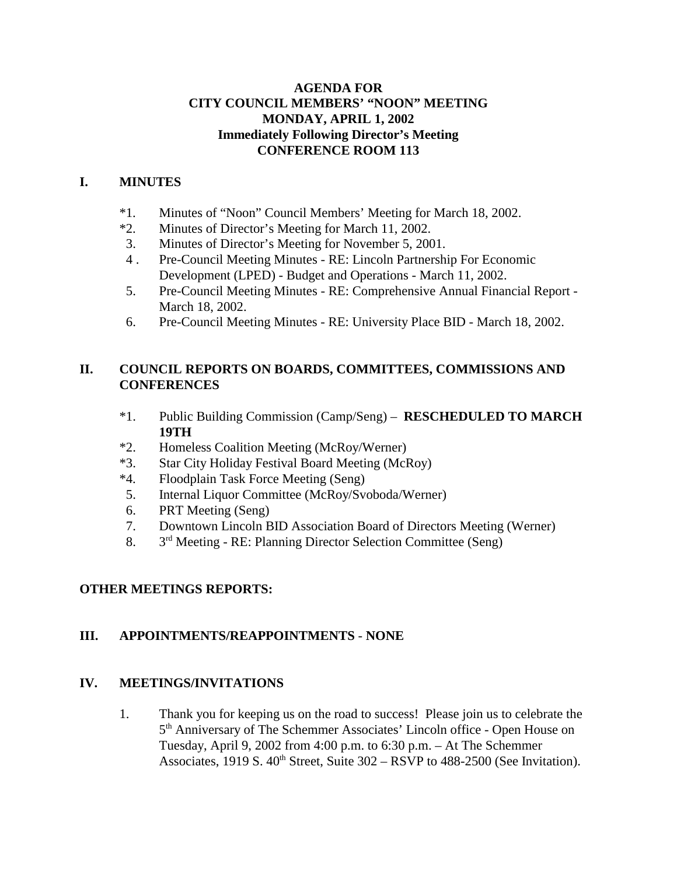## **AGENDA FOR CITY COUNCIL MEMBERS' "NOON" MEETING MONDAY, APRIL 1, 2002 Immediately Following Director's Meeting CONFERENCE ROOM 113**

## **I. MINUTES**

- \*1. Minutes of "Noon" Council Members' Meeting for March 18, 2002.
- \*2. Minutes of Director's Meeting for March 11, 2002.
- 3. Minutes of Director's Meeting for November 5, 2001.
- 4 . Pre-Council Meeting Minutes RE: Lincoln Partnership For Economic Development (LPED) - Budget and Operations - March 11, 2002.
- 5. Pre-Council Meeting Minutes RE: Comprehensive Annual Financial Report March 18, 2002.
- 6. Pre-Council Meeting Minutes RE: University Place BID March 18, 2002.

## **II. COUNCIL REPORTS ON BOARDS, COMMITTEES, COMMISSIONS AND CONFERENCES**

- \*1. Public Building Commission (Camp/Seng) **RESCHEDULED TO MARCH 19TH**
- \*2. Homeless Coalition Meeting (McRoy/Werner)
- \*3. Star City Holiday Festival Board Meeting (McRoy)
- \*4. Floodplain Task Force Meeting (Seng)
- 5. Internal Liquor Committee (McRoy/Svoboda/Werner)
- 6. PRT Meeting (Seng)
- 7. Downtown Lincoln BID Association Board of Directors Meeting (Werner)
- 8. 3rd Meeting RE: Planning Director Selection Committee (Seng)

# **OTHER MEETINGS REPORTS:**

# **III. APPOINTMENTS/REAPPOINTMENTS** - **NONE**

## **IV. MEETINGS/INVITATIONS**

1. Thank you for keeping us on the road to success! Please join us to celebrate the 5th Anniversary of The Schemmer Associates' Lincoln office - Open House on Tuesday, April 9, 2002 from 4:00 p.m. to 6:30 p.m. – At The Schemmer Associates, 1919 S.  $40^{th}$  Street, Suite  $302 - RSVP$  to  $488-2500$  (See Invitation).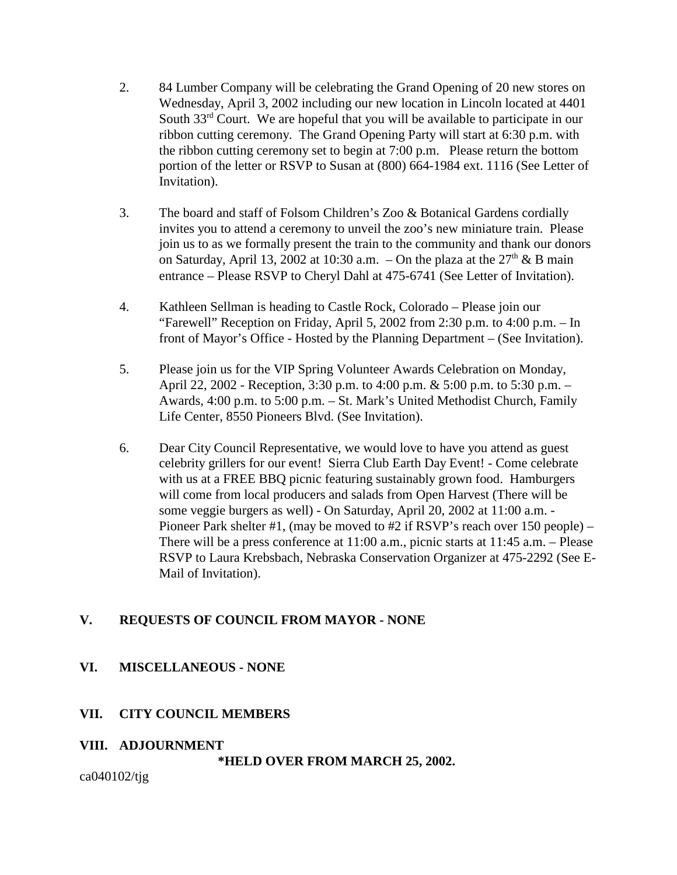- 2. 84 Lumber Company will be celebrating the Grand Opening of 20 new stores on Wednesday, April 3, 2002 including our new location in Lincoln located at 4401 South 33<sup>rd</sup> Court. We are hopeful that you will be available to participate in our ribbon cutting ceremony. The Grand Opening Party will start at 6:30 p.m. with the ribbon cutting ceremony set to begin at 7:00 p.m. Please return the bottom portion of the letter or RSVP to Susan at (800) 664-1984 ext. 1116 (See Letter of Invitation).
- 3. The board and staff of Folsom Children's Zoo & Botanical Gardens cordially invites you to attend a ceremony to unveil the zoo's new miniature train. Please join us to as we formally present the train to the community and thank our donors on Saturday, April 13, 2002 at 10:30 a.m. – On the plaza at the  $27<sup>th</sup>$  & B main entrance – Please RSVP to Cheryl Dahl at 475-6741 (See Letter of Invitation).
- 4. Kathleen Sellman is heading to Castle Rock, Colorado Please join our "Farewell" Reception on Friday, April 5, 2002 from 2:30 p.m. to 4:00 p.m. – In front of Mayor's Office - Hosted by the Planning Department – (See Invitation).
- 5. Please join us for the VIP Spring Volunteer Awards Celebration on Monday, April 22, 2002 - Reception, 3:30 p.m. to 4:00 p.m. & 5:00 p.m. to 5:30 p.m. – Awards, 4:00 p.m. to 5:00 p.m. – St. Mark's United Methodist Church, Family Life Center, 8550 Pioneers Blvd. (See Invitation).
- 6. Dear City Council Representative, we would love to have you attend as guest celebrity grillers for our event! Sierra Club Earth Day Event! - Come celebrate with us at a FREE BBQ picnic featuring sustainably grown food. Hamburgers will come from local producers and salads from Open Harvest (There will be some veggie burgers as well) - On Saturday, April 20, 2002 at 11:00 a.m. - Pioneer Park shelter #1, (may be moved to #2 if RSVP's reach over 150 people) – There will be a press conference at 11:00 a.m., picnic starts at 11:45 a.m. – Please RSVP to Laura Krebsbach, Nebraska Conservation Organizer at 475-2292 (See E-Mail of Invitation).

# **V. REQUESTS OF COUNCIL FROM MAYOR - NONE**

# **VI. MISCELLANEOUS - NONE**

# **VII. CITY COUNCIL MEMBERS**

# **VIII. ADJOURNMENT**

**\*HELD OVER FROM MARCH 25, 2002.** 

ca040102/tjg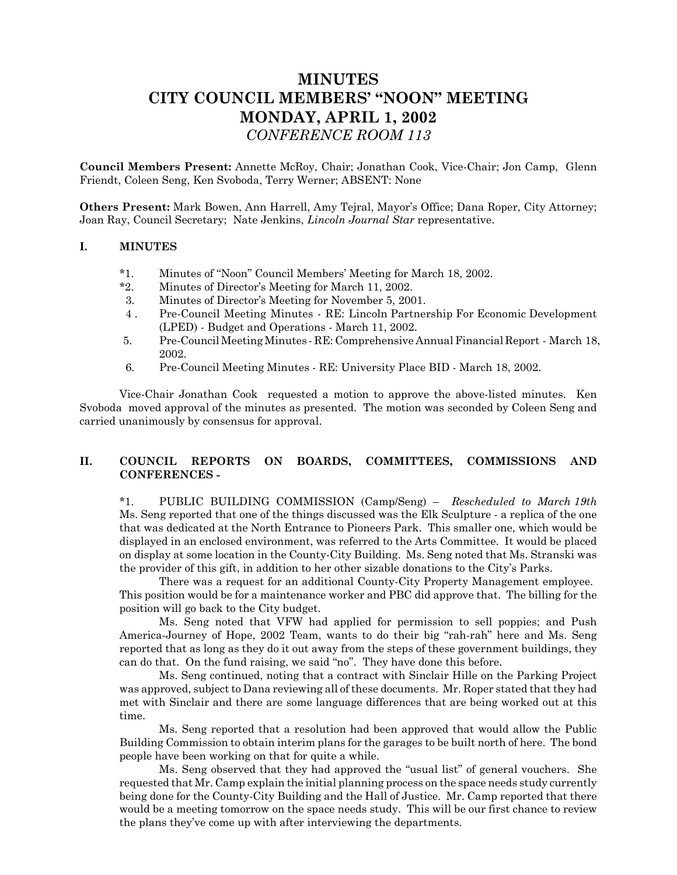# **MINUTES CITY COUNCIL MEMBERS' "NOON" MEETING MONDAY, APRIL 1, 2002** *CONFERENCE ROOM 113*

**Council Members Present:** Annette McRoy, Chair; Jonathan Cook, Vice-Chair; Jon Camp, Glenn Friendt, Coleen Seng, Ken Svoboda, Terry Werner; ABSENT: None

**Others Present:** Mark Bowen, Ann Harrell, Amy Tejral, Mayor's Office; Dana Roper, City Attorney; Joan Ray, Council Secretary; Nate Jenkins, *Lincoln Journal Star* representative.

### **I. MINUTES**

- \*1. Minutes of "Noon" Council Members' Meeting for March 18, 2002.
- \*2. Minutes of Director's Meeting for March 11, 2002.
- 3. Minutes of Director's Meeting for November 5, 2001.
- 4 . Pre-Council Meeting Minutes RE: Lincoln Partnership For Economic Development (LPED) - Budget and Operations - March 11, 2002.
- 5. Pre-Council Meeting Minutes RE: Comprehensive Annual Financial Report March 18, 2002.
- 6. Pre-Council Meeting Minutes RE: University Place BID March 18, 2002.

Vice-Chair Jonathan Cook requested a motion to approve the above-listed minutes. Ken Svoboda moved approval of the minutes as presented. The motion was seconded by Coleen Seng and carried unanimously by consensus for approval.

### **II. COUNCIL REPORTS ON BOARDS, COMMITTEES, COMMISSIONS AND CONFERENCES -**

\*1. PUBLIC BUILDING COMMISSION (Camp/Seng) – *Rescheduled to March 19th* Ms. Seng reported that one of the things discussed was the Elk Sculpture - a replica of the one that was dedicated at the North Entrance to Pioneers Park. This smaller one, which would be displayed in an enclosed environment, was referred to the Arts Committee. It would be placed on display at some location in the County-City Building. Ms. Seng noted that Ms. Stranski was the provider of this gift, in addition to her other sizable donations to the City's Parks.

There was a request for an additional County-City Property Management employee. This position would be for a maintenance worker and PBC did approve that. The billing for the position will go back to the City budget.

Ms. Seng noted that VFW had applied for permission to sell poppies; and Push America-Journey of Hope, 2002 Team, wants to do their big "rah-rah" here and Ms. Seng reported that as long as they do it out away from the steps of these government buildings, they can do that. On the fund raising, we said "no". They have done this before.

Ms. Seng continued, noting that a contract with Sinclair Hille on the Parking Project was approved, subject to Dana reviewing all of these documents. Mr. Roper stated that they had met with Sinclair and there are some language differences that are being worked out at this time.

Ms. Seng reported that a resolution had been approved that would allow the Public Building Commission to obtain interim plans for the garages to be built north of here. The bond people have been working on that for quite a while.

Ms. Seng observed that they had approved the "usual list" of general vouchers. She requested that Mr. Camp explain the initial planning process on the space needs study currently being done for the County-City Building and the Hall of Justice. Mr. Camp reported that there would be a meeting tomorrow on the space needs study. This will be our first chance to review the plans they've come up with after interviewing the departments.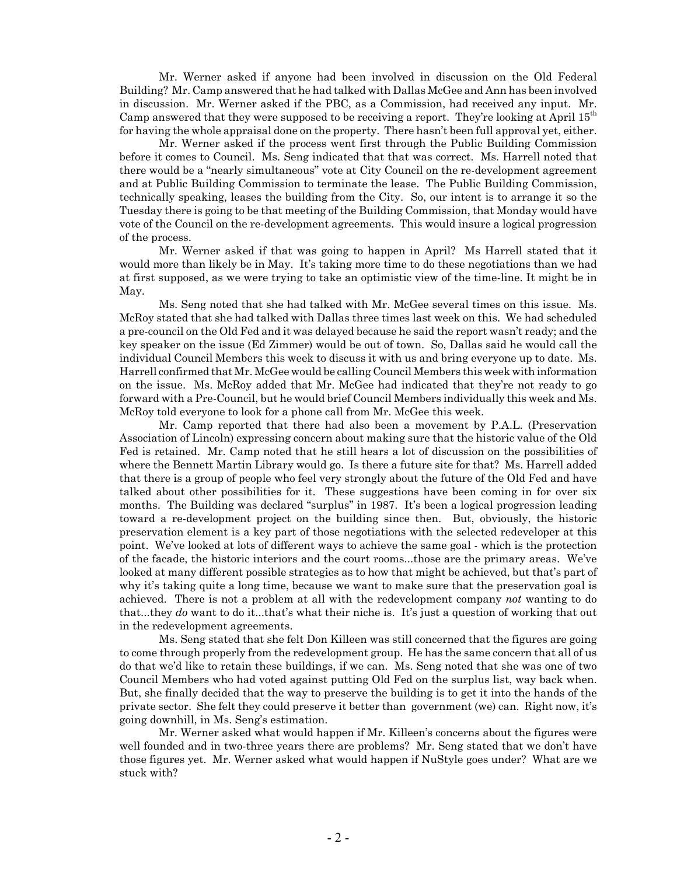Mr. Werner asked if anyone had been involved in discussion on the Old Federal Building? Mr. Camp answered that he had talked with Dallas McGee and Ann has been involved in discussion. Mr. Werner asked if the PBC, as a Commission, had received any input. Mr. Camp answered that they were supposed to be receiving a report. They're looking at April  $15<sup>th</sup>$ for having the whole appraisal done on the property. There hasn't been full approval yet, either.

Mr. Werner asked if the process went first through the Public Building Commission before it comes to Council. Ms. Seng indicated that that was correct. Ms. Harrell noted that there would be a "nearly simultaneous" vote at City Council on the re-development agreement and at Public Building Commission to terminate the lease. The Public Building Commission, technically speaking, leases the building from the City. So, our intent is to arrange it so the Tuesday there is going to be that meeting of the Building Commission, that Monday would have vote of the Council on the re-development agreements. This would insure a logical progression of the process.

Mr. Werner asked if that was going to happen in April? Ms Harrell stated that it would more than likely be in May. It's taking more time to do these negotiations than we had at first supposed, as we were trying to take an optimistic view of the time-line. It might be in May.

Ms. Seng noted that she had talked with Mr. McGee several times on this issue. Ms. McRoy stated that she had talked with Dallas three times last week on this. We had scheduled a pre-council on the Old Fed and it was delayed because he said the report wasn't ready; and the key speaker on the issue (Ed Zimmer) would be out of town. So, Dallas said he would call the individual Council Members this week to discuss it with us and bring everyone up to date. Ms. Harrell confirmed that Mr. McGee would be calling Council Members this week with information on the issue. Ms. McRoy added that Mr. McGee had indicated that they're not ready to go forward with a Pre-Council, but he would brief Council Members individually this week and Ms. McRoy told everyone to look for a phone call from Mr. McGee this week.

Mr. Camp reported that there had also been a movement by P.A.L. (Preservation Association of Lincoln) expressing concern about making sure that the historic value of the Old Fed is retained. Mr. Camp noted that he still hears a lot of discussion on the possibilities of where the Bennett Martin Library would go. Is there a future site for that? Ms. Harrell added that there is a group of people who feel very strongly about the future of the Old Fed and have talked about other possibilities for it. These suggestions have been coming in for over six months. The Building was declared "surplus" in 1987. It's been a logical progression leading toward a re-development project on the building since then. But, obviously, the historic preservation element is a key part of those negotiations with the selected redeveloper at this point. We've looked at lots of different ways to achieve the same goal - which is the protection of the facade, the historic interiors and the court rooms...those are the primary areas. We've looked at many different possible strategies as to how that might be achieved, but that's part of why it's taking quite a long time, because we want to make sure that the preservation goal is achieved. There is not a problem at all with the redevelopment company *not* wanting to do that...they *do* want to do it...that's what their niche is. It's just a question of working that out in the redevelopment agreements.

Ms. Seng stated that she felt Don Killeen was still concerned that the figures are going to come through properly from the redevelopment group. He has the same concern that all of us do that we'd like to retain these buildings, if we can. Ms. Seng noted that she was one of two Council Members who had voted against putting Old Fed on the surplus list, way back when. But, she finally decided that the way to preserve the building is to get it into the hands of the private sector. She felt they could preserve it better than government (we) can. Right now, it's going downhill, in Ms. Seng's estimation.

Mr. Werner asked what would happen if Mr. Killeen's concerns about the figures were well founded and in two-three years there are problems? Mr. Seng stated that we don't have those figures yet. Mr. Werner asked what would happen if NuStyle goes under? What are we stuck with?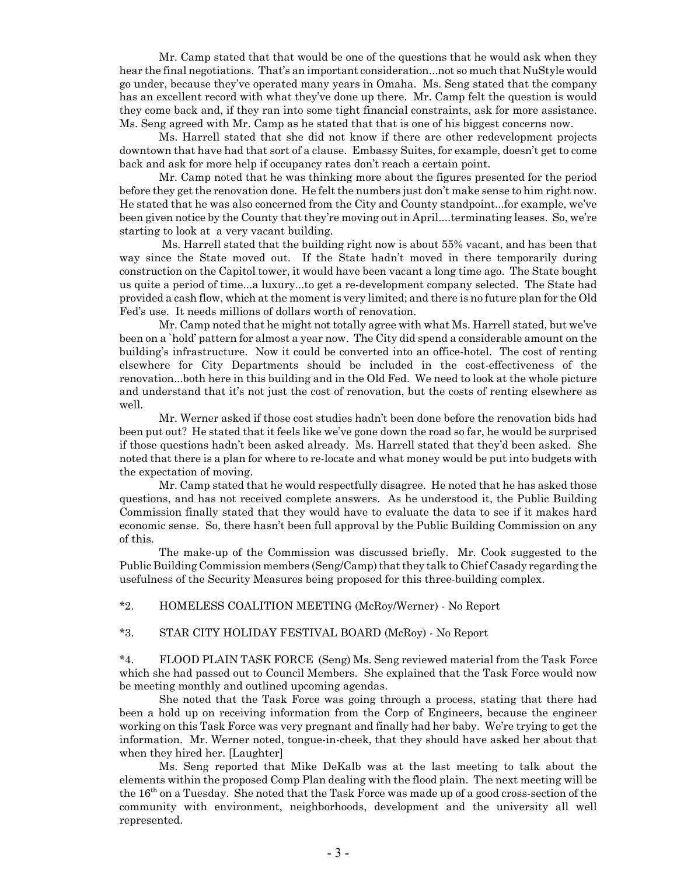Mr. Camp stated that that would be one of the questions that he would ask when they hear the final negotiations. That's an important consideration...not so much that NuStyle would go under, because they've operated many years in Omaha. Ms. Seng stated that the company has an excellent record with what they've done up there. Mr. Camp felt the question is would they come back and, if they ran into some tight financial constraints, ask for more assistance. Ms. Seng agreed with Mr. Camp as he stated that that is one of his biggest concerns now.

Ms. Harrell stated that she did not know if there are other redevelopment projects downtown that have had that sort of a clause. Embassy Suites, for example, doesn't get to come back and ask for more help if occupancy rates don't reach a certain point.

Mr. Camp noted that he was thinking more about the figures presented for the period before they get the renovation done. He felt the numbers just don't make sense to him right now. He stated that he was also concerned from the City and County standpoint...for example, we've been given notice by the County that they're moving out in April....terminating leases. So, we're starting to look at a very vacant building.

 Ms. Harrell stated that the building right now is about 55% vacant, and has been that way since the State moved out. If the State hadn't moved in there temporarily during construction on the Capitol tower, it would have been vacant a long time ago. The State bought us quite a period of time...a luxury...to get a re-development company selected. The State had provided a cash flow, which at the moment is very limited; and there is no future plan for the Old Fed's use. It needs millions of dollars worth of renovation.

Mr. Camp noted that he might not totally agree with what Ms. Harrell stated, but we've been on a `hold' pattern for almost a year now. The City did spend a considerable amount on the building's infrastructure. Now it could be converted into an office-hotel. The cost of renting elsewhere for City Departments should be included in the cost-effectiveness of the renovation...both here in this building and in the Old Fed. We need to look at the whole picture and understand that it's not just the cost of renovation, but the costs of renting elsewhere as well.

Mr. Werner asked if those cost studies hadn't been done before the renovation bids had been put out? He stated that it feels like we've gone down the road so far, he would be surprised if those questions hadn't been asked already. Ms. Harrell stated that they'd been asked. She noted that there is a plan for where to re-locate and what money would be put into budgets with the expectation of moving.

Mr. Camp stated that he would respectfully disagree. He noted that he has asked those questions, and has not received complete answers. As he understood it, the Public Building Commission finally stated that they would have to evaluate the data to see if it makes hard economic sense. So, there hasn't been full approval by the Public Building Commission on any of this.

The make-up of the Commission was discussed briefly. Mr. Cook suggested to the Public Building Commission members (Seng/Camp) that they talk to Chief Casady regarding the usefulness of the Security Measures being proposed for this three-building complex.

\*2. HOMELESS COALITION MEETING (McRoy/Werner) - No Report

\*3. STAR CITY HOLIDAY FESTIVAL BOARD (McRoy) - No Report

\*4. FLOOD PLAIN TASK FORCE (Seng) Ms. Seng reviewed material from the Task Force which she had passed out to Council Members. She explained that the Task Force would now be meeting monthly and outlined upcoming agendas.

She noted that the Task Force was going through a process, stating that there had been a hold up on receiving information from the Corp of Engineers, because the engineer working on this Task Force was very pregnant and finally had her baby. We're trying to get the information. Mr. Werner noted, tongue-in-cheek, that they should have asked her about that when they hired her. [Laughter]

Ms. Seng reported that Mike DeKalb was at the last meeting to talk about the elements within the proposed Comp Plan dealing with the flood plain. The next meeting will be the 16<sup>th</sup> on a Tuesday. She noted that the Task Force was made up of a good cross-section of the community with environment, neighborhoods, development and the university all well represented.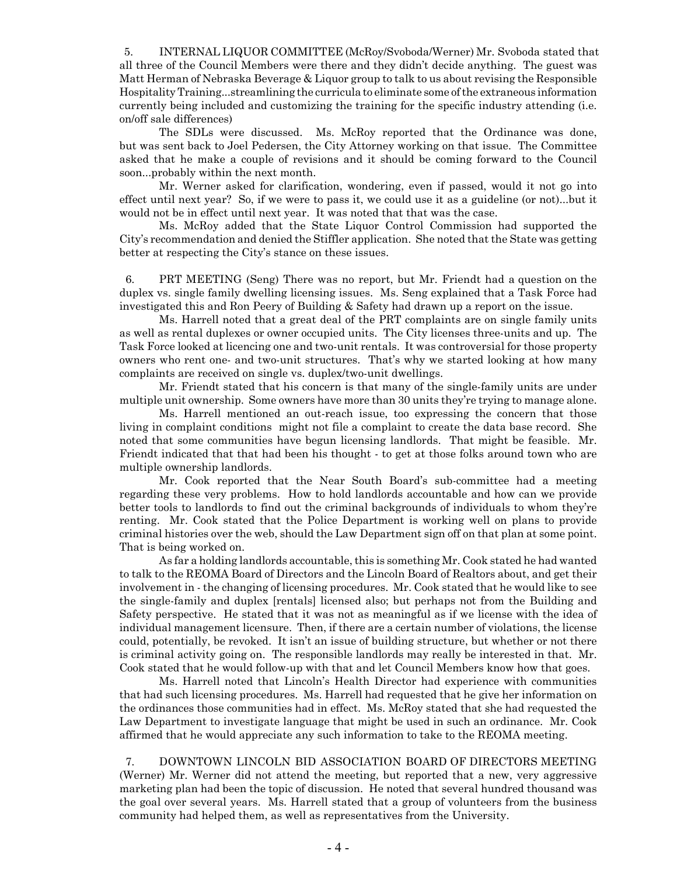5. INTERNAL LIQUOR COMMITTEE (McRoy/Svoboda/Werner) Mr. Svoboda stated that all three of the Council Members were there and they didn't decide anything. The guest was Matt Herman of Nebraska Beverage & Liquor group to talk to us about revising the Responsible Hospitality Training...streamlining the curricula to eliminate some of the extraneous information currently being included and customizing the training for the specific industry attending (i.e. on/off sale differences)

The SDLs were discussed. Ms. McRoy reported that the Ordinance was done, but was sent back to Joel Pedersen, the City Attorney working on that issue. The Committee asked that he make a couple of revisions and it should be coming forward to the Council soon...probably within the next month.

Mr. Werner asked for clarification, wondering, even if passed, would it not go into effect until next year? So, if we were to pass it, we could use it as a guideline (or not)...but it would not be in effect until next year. It was noted that that was the case.

Ms. McRoy added that the State Liquor Control Commission had supported the City's recommendation and denied the Stiffler application. She noted that the State was getting better at respecting the City's stance on these issues.

 6. PRT MEETING (Seng) There was no report, but Mr. Friendt had a question on the duplex vs. single family dwelling licensing issues. Ms. Seng explained that a Task Force had investigated this and Ron Peery of Building & Safety had drawn up a report on the issue.

Ms. Harrell noted that a great deal of the PRT complaints are on single family units as well as rental duplexes or owner occupied units. The City licenses three-units and up. The Task Force looked at licencing one and two-unit rentals. It was controversial for those property owners who rent one- and two-unit structures. That's why we started looking at how many complaints are received on single vs. duplex/two-unit dwellings.

Mr. Friendt stated that his concern is that many of the single-family units are under multiple unit ownership. Some owners have more than 30 units they're trying to manage alone.

Ms. Harrell mentioned an out-reach issue, too expressing the concern that those living in complaint conditions might not file a complaint to create the data base record. She noted that some communities have begun licensing landlords. That might be feasible. Mr. Friendt indicated that that had been his thought - to get at those folks around town who are multiple ownership landlords.

Mr. Cook reported that the Near South Board's sub-committee had a meeting regarding these very problems. How to hold landlords accountable and how can we provide better tools to landlords to find out the criminal backgrounds of individuals to whom they're renting. Mr. Cook stated that the Police Department is working well on plans to provide criminal histories over the web, should the Law Department sign off on that plan at some point. That is being worked on.

As far a holding landlords accountable, this is something Mr. Cook stated he had wanted to talk to the REOMA Board of Directors and the Lincoln Board of Realtors about, and get their involvement in - the changing of licensing procedures. Mr. Cook stated that he would like to see the single-family and duplex [rentals] licensed also; but perhaps not from the Building and Safety perspective. He stated that it was not as meaningful as if we license with the idea of individual management licensure. Then, if there are a certain number of violations, the license could, potentially, be revoked. It isn't an issue of building structure, but whether or not there is criminal activity going on. The responsible landlords may really be interested in that. Mr. Cook stated that he would follow-up with that and let Council Members know how that goes.

Ms. Harrell noted that Lincoln's Health Director had experience with communities that had such licensing procedures. Ms. Harrell had requested that he give her information on the ordinances those communities had in effect. Ms. McRoy stated that she had requested the Law Department to investigate language that might be used in such an ordinance. Mr. Cook affirmed that he would appreciate any such information to take to the REOMA meeting.

 7. DOWNTOWN LINCOLN BID ASSOCIATION BOARD OF DIRECTORS MEETING (Werner) Mr. Werner did not attend the meeting, but reported that a new, very aggressive marketing plan had been the topic of discussion. He noted that several hundred thousand was the goal over several years. Ms. Harrell stated that a group of volunteers from the business community had helped them, as well as representatives from the University.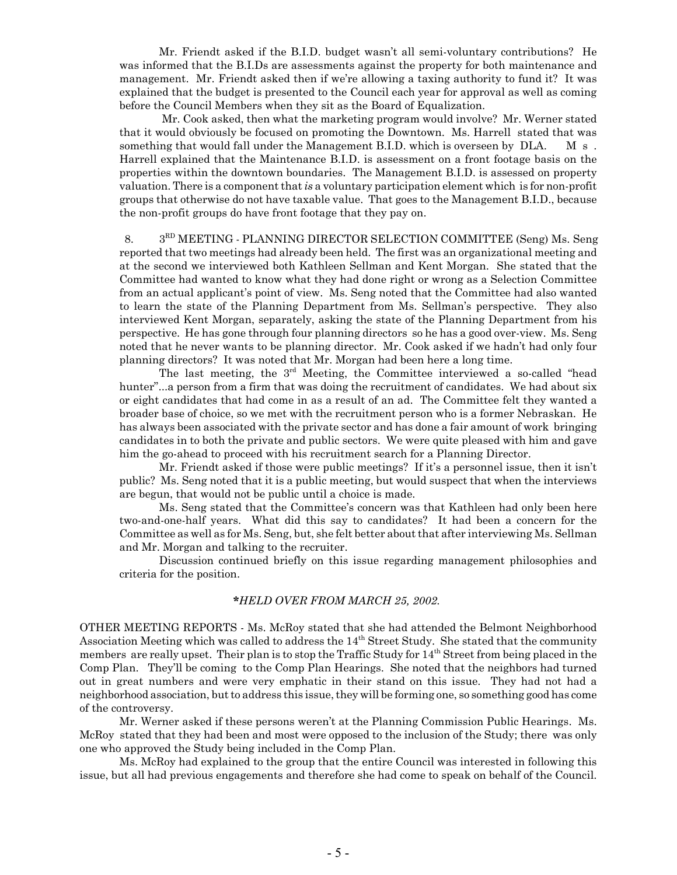Mr. Friendt asked if the B.I.D. budget wasn't all semi-voluntary contributions? He was informed that the B.I.Ds are assessments against the property for both maintenance and management. Mr. Friendt asked then if we're allowing a taxing authority to fund it? It was explained that the budget is presented to the Council each year for approval as well as coming before the Council Members when they sit as the Board of Equalization.

 Mr. Cook asked, then what the marketing program would involve? Mr. Werner stated that it would obviously be focused on promoting the Downtown. Ms. Harrell stated that was something that would fall under the Management B.I.D. which is overseen by  $\text{DLA.} \quad \text{M s}.$ Harrell explained that the Maintenance B.I.D. is assessment on a front footage basis on the properties within the downtown boundaries. The Management B.I.D. is assessed on property valuation. There is a component that *is* a voluntary participation element which is for non-profit groups that otherwise do not have taxable value. That goes to the Management B.I.D., because the non-profit groups do have front footage that they pay on.

8. 3<sup>RD</sup> MEETING - PLANNING DIRECTOR SELECTION COMMITTEE (Seng) Ms. Seng reported that two meetings had already been held. The first was an organizational meeting and at the second we interviewed both Kathleen Sellman and Kent Morgan. She stated that the Committee had wanted to know what they had done right or wrong as a Selection Committee from an actual applicant's point of view. Ms. Seng noted that the Committee had also wanted to learn the state of the Planning Department from Ms. Sellman's perspective. They also interviewed Kent Morgan, separately, asking the state of the Planning Department from his perspective. He has gone through four planning directors so he has a good over-view. Ms. Seng noted that he never wants to be planning director. Mr. Cook asked if we hadn't had only four planning directors? It was noted that Mr. Morgan had been here a long time.

The last meeting, the 3<sup>rd</sup> Meeting, the Committee interviewed a so-called "head hunter"...a person from a firm that was doing the recruitment of candidates. We had about six or eight candidates that had come in as a result of an ad. The Committee felt they wanted a broader base of choice, so we met with the recruitment person who is a former Nebraskan. He has always been associated with the private sector and has done a fair amount of work bringing candidates in to both the private and public sectors. We were quite pleased with him and gave him the go-ahead to proceed with his recruitment search for a Planning Director.

Mr. Friendt asked if those were public meetings? If it's a personnel issue, then it isn't public? Ms. Seng noted that it is a public meeting, but would suspect that when the interviews are begun, that would not be public until a choice is made.

Ms. Seng stated that the Committee's concern was that Kathleen had only been here two-and-one-half years. What did this say to candidates? It had been a concern for the Committee as well as for Ms. Seng, but, she felt better about that after interviewing Ms. Sellman and Mr. Morgan and talking to the recruiter.

Discussion continued briefly on this issue regarding management philosophies and criteria for the position.

### **\****HELD OVER FROM MARCH 25, 2002.*

OTHER MEETING REPORTS - Ms. McRoy stated that she had attended the Belmont Neighborhood Association Meeting which was called to address the 14<sup>th</sup> Street Study. She stated that the community members are really upset. Their plan is to stop the Traffic Study for  $14<sup>th</sup>$  Street from being placed in the Comp Plan. They'll be coming to the Comp Plan Hearings. She noted that the neighbors had turned out in great numbers and were very emphatic in their stand on this issue. They had not had a neighborhood association, but to address this issue, they will be forming one, so something good has come of the controversy.

Mr. Werner asked if these persons weren't at the Planning Commission Public Hearings. Ms. McRoy stated that they had been and most were opposed to the inclusion of the Study; there was only one who approved the Study being included in the Comp Plan.

Ms. McRoy had explained to the group that the entire Council was interested in following this issue, but all had previous engagements and therefore she had come to speak on behalf of the Council.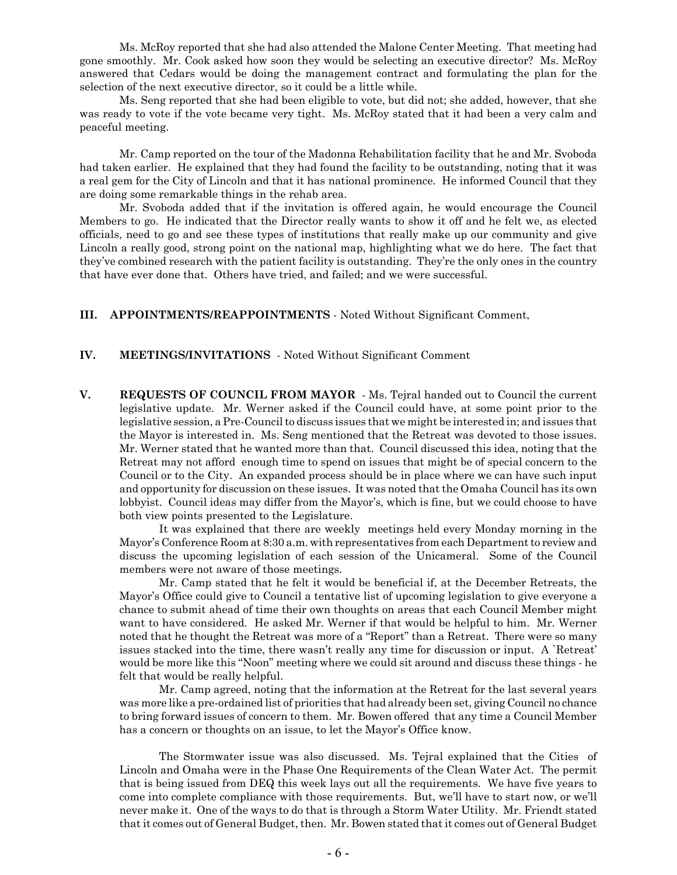Ms. McRoy reported that she had also attended the Malone Center Meeting. That meeting had gone smoothly. Mr. Cook asked how soon they would be selecting an executive director? Ms. McRoy answered that Cedars would be doing the management contract and formulating the plan for the selection of the next executive director, so it could be a little while.

Ms. Seng reported that she had been eligible to vote, but did not; she added, however, that she was ready to vote if the vote became very tight. Ms. McRoy stated that it had been a very calm and peaceful meeting.

Mr. Camp reported on the tour of the Madonna Rehabilitation facility that he and Mr. Svoboda had taken earlier. He explained that they had found the facility to be outstanding, noting that it was a real gem for the City of Lincoln and that it has national prominence. He informed Council that they are doing some remarkable things in the rehab area.

Mr. Svoboda added that if the invitation is offered again, he would encourage the Council Members to go. He indicated that the Director really wants to show it off and he felt we, as elected officials, need to go and see these types of institutions that really make up our community and give Lincoln a really good, strong point on the national map, highlighting what we do here. The fact that they've combined research with the patient facility is outstanding. They're the only ones in the country that have ever done that. Others have tried, and failed; and we were successful.

### **III. APPOINTMENTS/REAPPOINTMENTS** - Noted Without Significant Comment,

### **IV. MEETINGS/INVITATIONS** - Noted Without Significant Comment

**V. REQUESTS OF COUNCIL FROM MAYOR** - Ms. Tejral handed out to Council the current legislative update. Mr. Werner asked if the Council could have, at some point prior to the legislative session, a Pre-Council to discuss issues that we might be interested in; and issues that the Mayor is interested in. Ms. Seng mentioned that the Retreat was devoted to those issues. Mr. Werner stated that he wanted more than that. Council discussed this idea, noting that the Retreat may not afford enough time to spend on issues that might be of special concern to the Council or to the City. An expanded process should be in place where we can have such input and opportunity for discussion on these issues. It was noted that the Omaha Council has its own lobbyist. Council ideas may differ from the Mayor's, which is fine, but we could choose to have both view points presented to the Legislature.

It was explained that there are weekly meetings held every Monday morning in the Mayor's Conference Room at 8:30 a.m. with representatives from each Department to review and discuss the upcoming legislation of each session of the Unicameral. Some of the Council members were not aware of those meetings.

Mr. Camp stated that he felt it would be beneficial if, at the December Retreats, the Mayor's Office could give to Council a tentative list of upcoming legislation to give everyone a chance to submit ahead of time their own thoughts on areas that each Council Member might want to have considered. He asked Mr. Werner if that would be helpful to him. Mr. Werner noted that he thought the Retreat was more of a "Report" than a Retreat. There were so many issues stacked into the time, there wasn't really any time for discussion or input. A `Retreat' would be more like this "Noon" meeting where we could sit around and discuss these things - he felt that would be really helpful.

Mr. Camp agreed, noting that the information at the Retreat for the last several years was more like a pre-ordained list of priorities that had already been set, giving Council no chance to bring forward issues of concern to them. Mr. Bowen offered that any time a Council Member has a concern or thoughts on an issue, to let the Mayor's Office know.

The Stormwater issue was also discussed. Ms. Tejral explained that the Cities of Lincoln and Omaha were in the Phase One Requirements of the Clean Water Act. The permit that is being issued from DEQ this week lays out all the requirements. We have five years to come into complete compliance with those requirements. But, we'll have to start now, or we'll never make it. One of the ways to do that is through a Storm Water Utility. Mr. Friendt stated that it comes out of General Budget, then. Mr. Bowen stated that it comes out of General Budget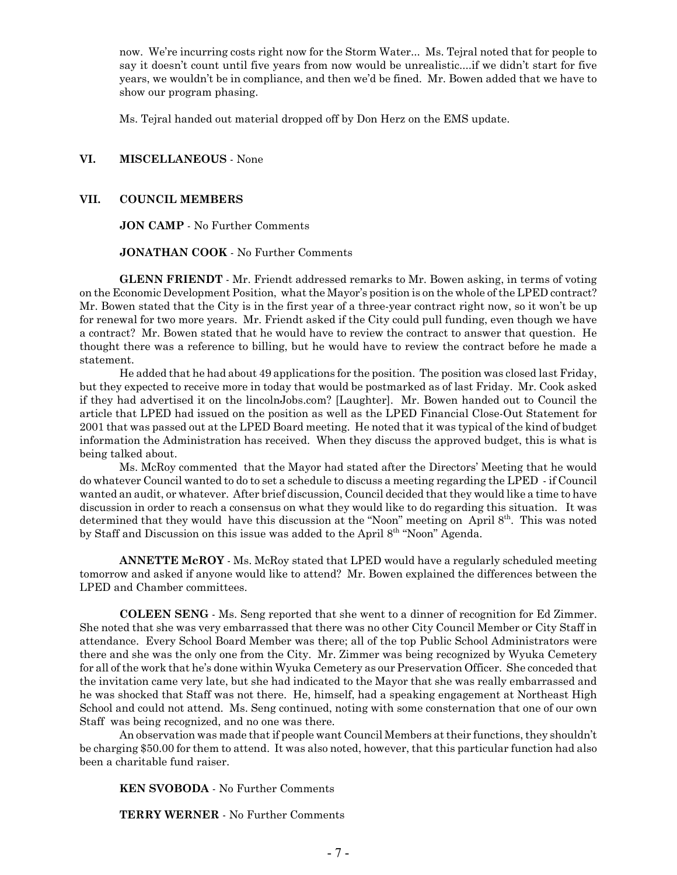now. We're incurring costs right now for the Storm Water... Ms. Tejral noted that for people to say it doesn't count until five years from now would be unrealistic....if we didn't start for five years, we wouldn't be in compliance, and then we'd be fined. Mr. Bowen added that we have to show our program phasing.

Ms. Tejral handed out material dropped off by Don Herz on the EMS update.

### **VI. MISCELLANEOUS** - None

### **VII. COUNCIL MEMBERS**

**JON CAMP** - No Further Comments

**JONATHAN COOK** - No Further Comments

**GLENN FRIENDT** - Mr. Friendt addressed remarks to Mr. Bowen asking, in terms of voting on the Economic Development Position, what the Mayor's position is on the whole of the LPED contract? Mr. Bowen stated that the City is in the first year of a three-year contract right now, so it won't be up for renewal for two more years. Mr. Friendt asked if the City could pull funding, even though we have a contract? Mr. Bowen stated that he would have to review the contract to answer that question. He thought there was a reference to billing, but he would have to review the contract before he made a statement.

He added that he had about 49 applications for the position. The position was closed last Friday, but they expected to receive more in today that would be postmarked as of last Friday. Mr. Cook asked if they had advertised it on the lincolnJobs.com? [Laughter]. Mr. Bowen handed out to Council the article that LPED had issued on the position as well as the LPED Financial Close-Out Statement for 2001 that was passed out at the LPED Board meeting. He noted that it was typical of the kind of budget information the Administration has received. When they discuss the approved budget, this is what is being talked about.

Ms. McRoy commented that the Mayor had stated after the Directors' Meeting that he would do whatever Council wanted to do to set a schedule to discuss a meeting regarding the LPED - if Council wanted an audit, or whatever. After brief discussion, Council decided that they would like a time to have discussion in order to reach a consensus on what they would like to do regarding this situation. It was determined that they would have this discussion at the "Noon" meeting on April 8<sup>th</sup>. This was noted by Staff and Discussion on this issue was added to the April 8th "Noon" Agenda.

**ANNETTE McROY** - Ms. McRoy stated that LPED would have a regularly scheduled meeting tomorrow and asked if anyone would like to attend? Mr. Bowen explained the differences between the LPED and Chamber committees.

**COLEEN SENG** - Ms. Seng reported that she went to a dinner of recognition for Ed Zimmer. She noted that she was very embarrassed that there was no other City Council Member or City Staff in attendance. Every School Board Member was there; all of the top Public School Administrators were there and she was the only one from the City. Mr. Zimmer was being recognized by Wyuka Cemetery for all of the work that he's done within Wyuka Cemetery as our Preservation Officer. She conceded that the invitation came very late, but she had indicated to the Mayor that she was really embarrassed and he was shocked that Staff was not there. He, himself, had a speaking engagement at Northeast High School and could not attend. Ms. Seng continued, noting with some consternation that one of our own Staff was being recognized, and no one was there.

An observation was made that if people want Council Members at their functions, they shouldn't be charging \$50.00 for them to attend. It was also noted, however, that this particular function had also been a charitable fund raiser.

**KEN SVOBODA** - No Further Comments

**TERRY WERNER** - No Further Comments